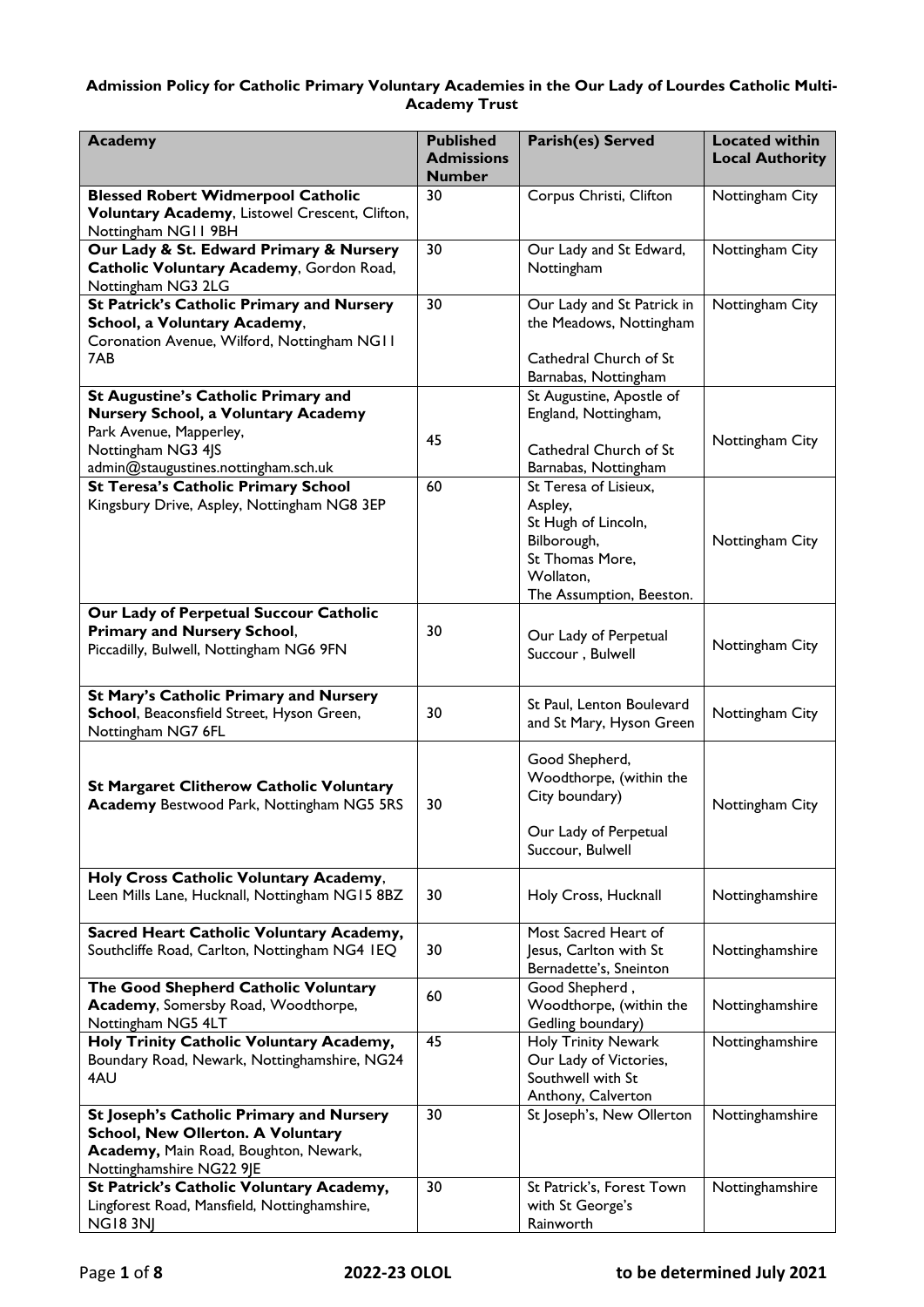# **Admission Policy for Catholic Primary Voluntary Academies in the Our Lady of Lourdes Catholic Multi-Academy Trust**

| <b>Academy</b>                                                                                                                                            | <b>Published</b><br><b>Admissions</b><br><b>Number</b> | Parish(es) Served                                                                                         | <b>Located within</b><br><b>Local Authority</b> |
|-----------------------------------------------------------------------------------------------------------------------------------------------------------|--------------------------------------------------------|-----------------------------------------------------------------------------------------------------------|-------------------------------------------------|
| <b>Blessed Robert Widmerpool Catholic</b><br>Voluntary Academy, Listowel Crescent, Clifton,<br>Nottingham NG11 9BH                                        | 30                                                     | Corpus Christi, Clifton                                                                                   | Nottingham City                                 |
| Our Lady & St. Edward Primary & Nursery<br>Catholic Voluntary Academy, Gordon Road,<br>Nottingham NG3 2LG                                                 | 30                                                     | Our Lady and St Edward,<br>Nottingham                                                                     | Nottingham City                                 |
| <b>St Patrick's Catholic Primary and Nursery</b><br>School, a Voluntary Academy,<br>Coronation Avenue, Wilford, Nottingham NGII<br>7AB                    | 30                                                     | Our Lady and St Patrick in<br>the Meadows, Nottingham<br>Cathedral Church of St<br>Barnabas, Nottingham   | Nottingham City                                 |
| St Augustine's Catholic Primary and<br>Nursery School, a Voluntary Academy<br>Park Avenue, Mapperley,<br>Nottingham NG3 4JS                               | 45                                                     | St Augustine, Apostle of<br>England, Nottingham,<br>Cathedral Church of St                                | Nottingham City                                 |
| admin@staugustines.nottingham.sch.uk<br>St Teresa's Catholic Primary School                                                                               | 60                                                     | Barnabas, Nottingham<br>St Teresa of Lisieux,                                                             |                                                 |
| Kingsbury Drive, Aspley, Nottingham NG8 3EP                                                                                                               |                                                        | Aspley,<br>St Hugh of Lincoln,<br>Bilborough,<br>St Thomas More,<br>Wollaton,<br>The Assumption, Beeston. | Nottingham City                                 |
| Our Lady of Perpetual Succour Catholic<br><b>Primary and Nursery School,</b><br>Piccadilly, Bulwell, Nottingham NG6 9FN                                   | 30                                                     | Our Lady of Perpetual<br>Succour, Bulwell                                                                 | Nottingham City                                 |
| St Mary's Catholic Primary and Nursery<br>School, Beaconsfield Street, Hyson Green,<br>Nottingham NG7 6FL                                                 | 30                                                     | St Paul, Lenton Boulevard<br>and St Mary, Hyson Green                                                     | Nottingham City                                 |
| <b>St Margaret Clitherow Catholic Voluntary</b><br><b>Academy Bestwood Park, Nottingham NG5 5RS</b>                                                       | 30                                                     | Good Shepherd,<br>Woodthorpe, (within the<br>City boundary)<br>Our Lady of Perpetual<br>Succour, Bulwell  | Nottingham City                                 |
| Holy Cross Catholic Voluntary Academy,<br>Leen Mills Lane, Hucknall, Nottingham NG15 8BZ                                                                  | 30                                                     | Holy Cross, Hucknall                                                                                      | Nottinghamshire                                 |
| Sacred Heart Catholic Voluntary Academy,<br>Southcliffe Road, Carlton, Nottingham NG4 IEQ                                                                 | 30                                                     | Most Sacred Heart of<br>Jesus, Carlton with St<br>Bernadette's, Sneinton                                  | Nottinghamshire                                 |
| The Good Shepherd Catholic Voluntary<br>Academy, Somersby Road, Woodthorpe,<br>Nottingham NG5 4LT                                                         | 60                                                     | Good Shepherd,<br>Woodthorpe, (within the<br>Gedling boundary)                                            | Nottinghamshire                                 |
| Holy Trinity Catholic Voluntary Academy,<br>Boundary Road, Newark, Nottinghamshire, NG24<br>4AU                                                           | 45                                                     | <b>Holy Trinity Newark</b><br>Our Lady of Victories,<br>Southwell with St<br>Anthony, Calverton           | Nottinghamshire                                 |
| St Joseph's Catholic Primary and Nursery<br><b>School, New Ollerton. A Voluntary</b><br>Academy, Main Road, Boughton, Newark,<br>Nottinghamshire NG22 9JE | 30                                                     | St Joseph's, New Ollerton                                                                                 | Nottinghamshire                                 |
| St Patrick's Catholic Voluntary Academy,<br>Lingforest Road, Mansfield, Nottinghamshire,<br><b>NG18 3NJ</b>                                               | 30                                                     | St Patrick's, Forest Town<br>with St George's<br>Rainworth                                                | Nottinghamshire                                 |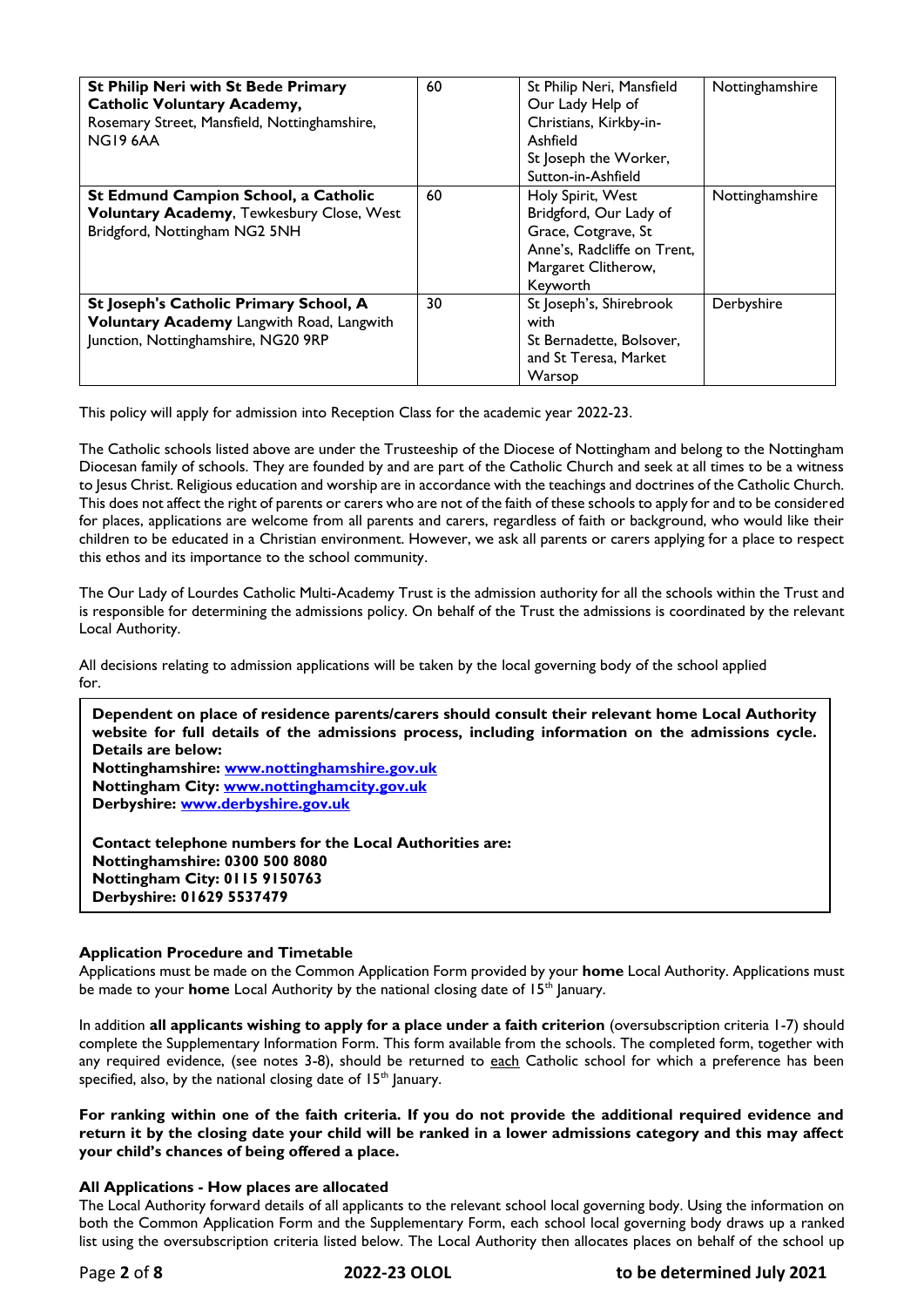| <b>St Philip Neri with St Bede Primary</b><br><b>Catholic Voluntary Academy,</b><br>Rosemary Street, Mansfield, Nottinghamshire,<br>NG19 6AA | 60 | St Philip Neri, Mansfield<br>Our Lady Help of<br>Christians, Kirkby-in-<br>Ashfield<br>St Joseph the Worker,<br>Sutton-in-Ashfield   | Nottinghamshire |
|----------------------------------------------------------------------------------------------------------------------------------------------|----|--------------------------------------------------------------------------------------------------------------------------------------|-----------------|
| St Edmund Campion School, a Catholic<br>Voluntary Academy, Tewkesbury Close, West<br>Bridgford, Nottingham NG2 5NH                           | 60 | Holy Spirit, West<br>Bridgford, Our Lady of<br>Grace, Cotgrave, St<br>Anne's, Radcliffe on Trent,<br>Margaret Clitherow,<br>Keyworth | Nottinghamshire |
| St Joseph's Catholic Primary School, A<br>Voluntary Academy Langwith Road, Langwith<br>Junction, Nottinghamshire, NG20 9RP                   | 30 | St Joseph's, Shirebrook<br>with<br>St Bernadette, Bolsover,<br>and St Teresa, Market<br>Warsop                                       | Derbyshire      |

This policy will apply for admission into Reception Class for the academic year 2022-23.

The Catholic schools listed above are under the Trusteeship of the Diocese of Nottingham and belong to the Nottingham Diocesan family of schools. They are founded by and are part of the Catholic Church and seek at all times to be a witness to Jesus Christ. Religious education and worship are in accordance with the teachings and doctrines of the Catholic Church. This does not affect the right of parents or carers who are not of the faith of these schools to apply for and to be considered for places, applications are welcome from all parents and carers, regardless of faith or background, who would like their children to be educated in a Christian environment. However, we ask all parents or carers applying for a place to respect this ethos and its importance to the school community.

The Our Lady of Lourdes Catholic Multi-Academy Trust is the admission authority for all the schools within the Trust and is responsible for determining the admissions policy. On behalf of the Trust the admissions is coordinated by the relevant Local Authority.

All decisions relating to admission applications will be taken by the local governing body of the school applied for.

**Dependent on place of residence parents/carers should consult their relevant home Local Authority website for full details of the admissions process, including information on the admissions cycle. Details are below: Nottinghamshire: [www.nottinghamshire.gov.uk](http://www.nottinghamshire.gov.uk/) Nottingham City: [www.nottinghamcity.gov.uk](http://www.nottinghamcity.gov.uk/)  Derbyshire: [www.derbyshire.gov.uk](http://www.derbyshire.gov.uk/)  Contact telephone numbers for the Local Authorities are:**

**Nottinghamshire: 0300 500 8080 Nottingham City: 0115 9150763 Derbyshire: 01629 5537479**

# **Application Procedure and Timetable**

Applications must be made on the Common Application Form provided by your **home** Local Authority. Applications must be made to your **home** Local Authority by the national closing date of 15<sup>th</sup> January.

In addition **all applicants wishing to apply for a place under a faith criterion** (oversubscription criteria 1-7) should complete the Supplementary Information Form. This form available from the schools. The completed form, together with any required evidence, (see notes 3-8), should be returned to each Catholic school for which a preference has been specified, also, by the national closing date of  $15<sup>th</sup>$  January.

**For ranking within one of the faith criteria. If you do not provide the additional required evidence and return it by the closing date your child will be ranked in a lower admissions category and this may affect your child's chances of being offered a place.**

# **All Applications - How places are allocated**

The Local Authority forward details of all applicants to the relevant school local governing body. Using the information on both the Common Application Form and the Supplementary Form, each school local governing body draws up a ranked list using the oversubscription criteria listed below. The Local Authority then allocates places on behalf of the school up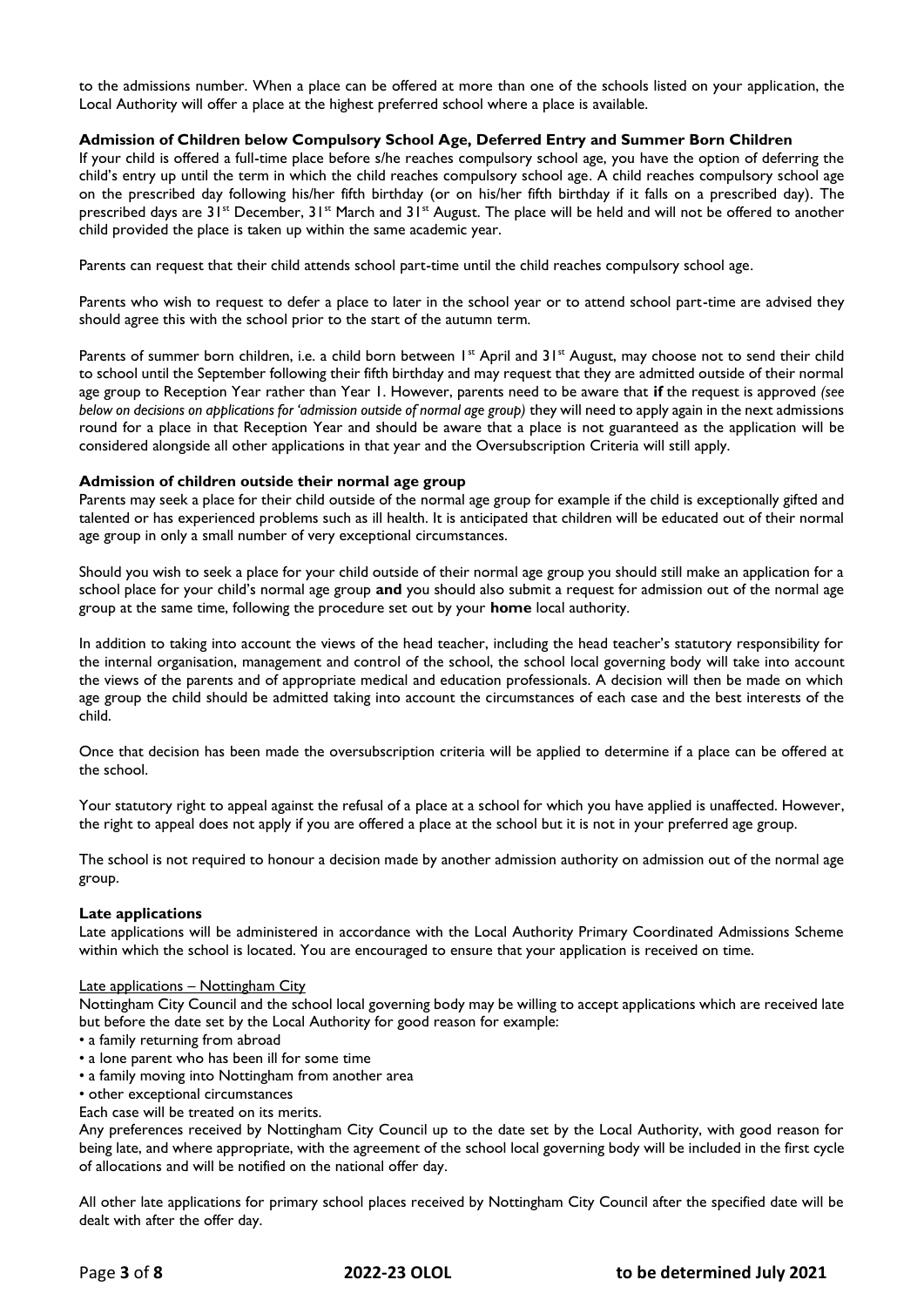to the admissions number. When a place can be offered at more than one of the schools listed on your application, the Local Authority will offer a place at the highest preferred school where a place is available.

# **Admission of Children below Compulsory School Age, Deferred Entry and Summer Born Children**

If your child is offered a full-time place before s/he reaches compulsory school age, you have the option of deferring the child's entry up until the term in which the child reaches compulsory school age. A child reaches compulsory school age on the prescribed day following his/her fifth birthday (or on his/her fifth birthday if it falls on a prescribed day). The prescribed days are 31<sup>st</sup> December, 31<sup>st</sup> March and 31<sup>st</sup> August. The place will be held and will not be offered to another child provided the place is taken up within the same academic year.

Parents can request that their child attends school part-time until the child reaches compulsory school age.

Parents who wish to request to defer a place to later in the school year or to attend school part-time are advised they should agree this with the school prior to the start of the autumn term*.*

Parents of summer born children, i.e. a child born between  $1^{st}$  April and  $31^{st}$  August, may choose not to send their child to school until the September following their fifth birthday and may request that they are admitted outside of their normal age group to Reception Year rather than Year 1. However, parents need to be aware that **if** the request is approved *(see below on decisions on applications for 'admission outside of normal age group*) they will need to apply again in the next admissions round for a place in that Reception Year and should be aware that a place is not guaranteed as the application will be considered alongside all other applications in that year and the Oversubscription Criteria will still apply.

# **Admission of children outside their normal age group**

Parents may seek a place for their child outside of the normal age group for example if the child is exceptionally gifted and talented or has experienced problems such as ill health. It is anticipated that children will be educated out of their normal age group in only a small number of very exceptional circumstances.

Should you wish to seek a place for your child outside of their normal age group you should still make an application for a school place for your child's normal age group **and** you should also submit a request for admission out of the normal age group at the same time, following the procedure set out by your **home** local authority.

In addition to taking into account the views of the head teacher, including the head teacher's statutory responsibility for the internal organisation, management and control of the school, the school local governing body will take into account the views of the parents and of appropriate medical and education professionals. A decision will then be made on which age group the child should be admitted taking into account the circumstances of each case and the best interests of the child.

Once that decision has been made the oversubscription criteria will be applied to determine if a place can be offered at the school.

Your statutory right to appeal against the refusal of a place at a school for which you have applied is unaffected. However, the right to appeal does not apply if you are offered a place at the school but it is not in your preferred age group.

The school is not required to honour a decision made by another admission authority on admission out of the normal age group.

#### **Late applications**

Late applications will be administered in accordance with the Local Authority Primary Coordinated Admissions Scheme within which the school is located. You are encouraged to ensure that your application is received on time.

#### Late applications - Nottingham City

Nottingham City Council and the school local governing body may be willing to accept applications which are received late but before the date set by the Local Authority for good reason for example:

- a family returning from abroad
- a lone parent who has been ill for some time
- a family moving into Nottingham from another area
- other exceptional circumstances
- Each case will be treated on its merits.

Any preferences received by Nottingham City Council up to the date set by the Local Authority, with good reason for being late, and where appropriate, with the agreement of the school local governing body will be included in the first cycle of allocations and will be notified on the national offer day.

All other late applications for primary school places received by Nottingham City Council after the specified date will be dealt with after the offer day.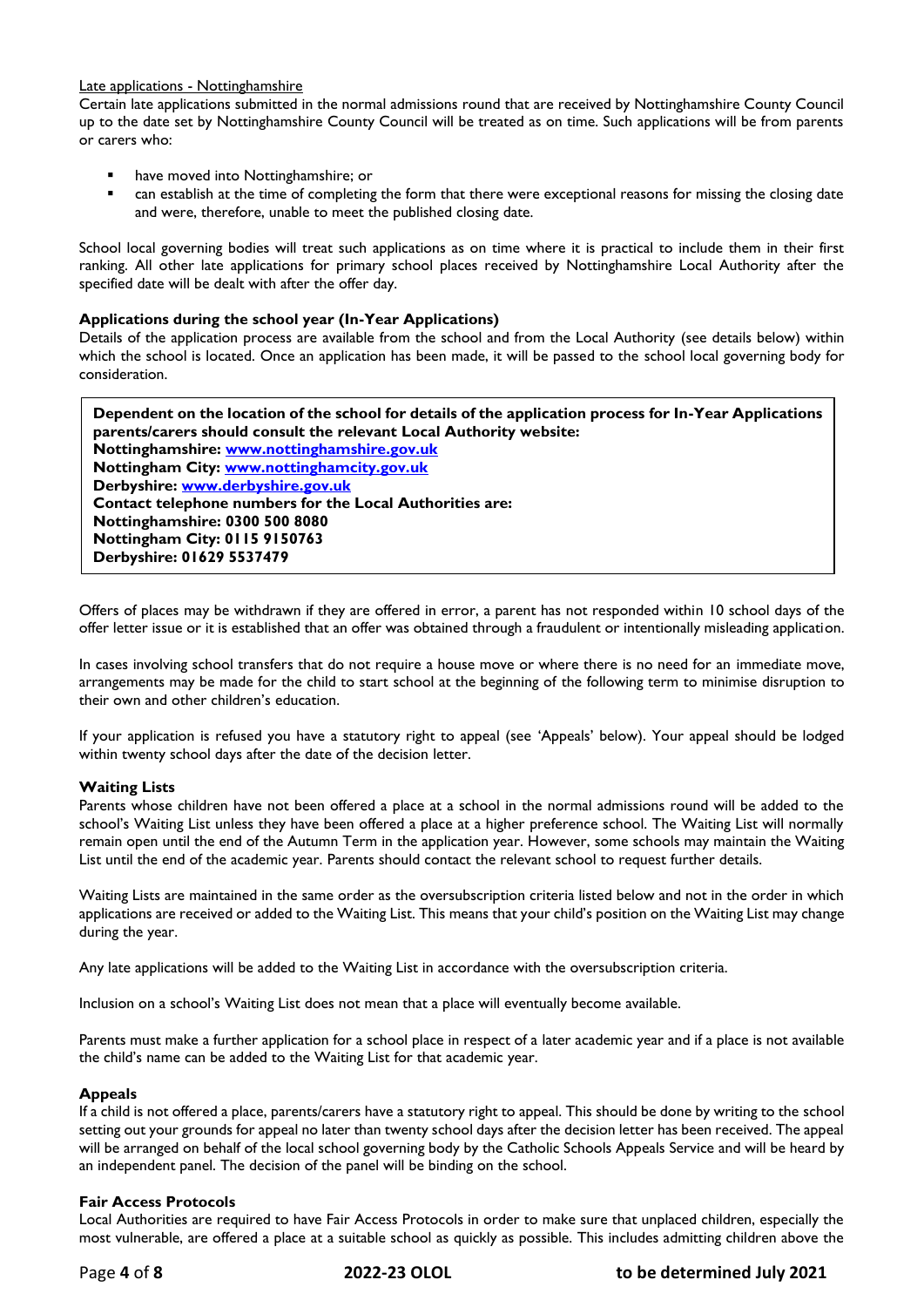# Late applications - Nottinghamshire

Certain late applications submitted in the normal admissions round that are received by Nottinghamshire County Council up to the date set by Nottinghamshire County Council will be treated as on time. Such applications will be from parents or carers who:

- have moved into Nottinghamshire; or
- can establish at the time of completing the form that there were exceptional reasons for missing the closing date and were, therefore, unable to meet the published closing date.

School local governing bodies will treat such applications as on time where it is practical to include them in their first ranking. All other late applications for primary school places received by Nottinghamshire Local Authority after the specified date will be dealt with after the offer day.

# **Applications during the school year (In-Year Applications)**

Details of the application process are available from the school and from the Local Authority (see details below) within which the school is located. Once an application has been made, it will be passed to the school local governing body for consideration.

**Dependent on the location of the school for details of the application process for In-Year Applications parents/carers should consult the relevant Local Authority website: Nottinghamshire: [www.nottinghamshire.gov.uk](http://www.nottinghamshire.gov.uk/) Nottingham City: [www.nottinghamcity.gov.uk](http://www.nottinghamcity.gov.uk/) Derbyshire: [www.derbyshire.gov.uk](http://www.derbyshire.gov.uk/) Contact telephone numbers for the Local Authorities are: Nottinghamshire: 0300 500 8080 Nottingham City: 0115 9150763 Derbyshire: 01629 5537479**

Offers of places may be withdrawn if they are offered in error, a parent has not responded within 10 school days of the offer letter issue or it is established that an offer was obtained through a fraudulent or intentionally misleading application.

In cases involving school transfers that do not require a house move or where there is no need for an immediate move, arrangements may be made for the child to start school at the beginning of the following term to minimise disruption to their own and other children's education.

If your application is refused you have a statutory right to appeal (see 'Appeals' below). Your appeal should be lodged within twenty school days after the date of the decision letter.

# **Waiting Lists**

Parents whose children have not been offered a place at a school in the normal admissions round will be added to the school's Waiting List unless they have been offered a place at a higher preference school. The Waiting List will normally remain open until the end of the Autumn Term in the application year. However, some schools may maintain the Waiting List until the end of the academic year. Parents should contact the relevant school to request further details.

Waiting Lists are maintained in the same order as the oversubscription criteria listed below and not in the order in which applications are received or added to the Waiting List. This means that your child's position on the Waiting List may change during the year.

Any late applications will be added to the Waiting List in accordance with the oversubscription criteria.

Inclusion on a school's Waiting List does not mean that a place will eventually become available.

Parents must make a further application for a school place in respect of a later academic year and if a place is not available the child's name can be added to the Waiting List for that academic year.

# **Appeals**

If a child is not offered a place, parents/carers have a statutory right to appeal. This should be done by writing to the school setting out your grounds for appeal no later than twenty school days after the decision letter has been received. The appeal will be arranged on behalf of the local school governing body by the Catholic Schools Appeals Service and will be heard by an independent panel. The decision of the panel will be binding on the school.

# **Fair Access Protocols**

Local Authorities are required to have Fair Access Protocols in order to make sure that unplaced children, especially the most vulnerable, are offered a place at a suitable school as quickly as possible. This includes admitting children above the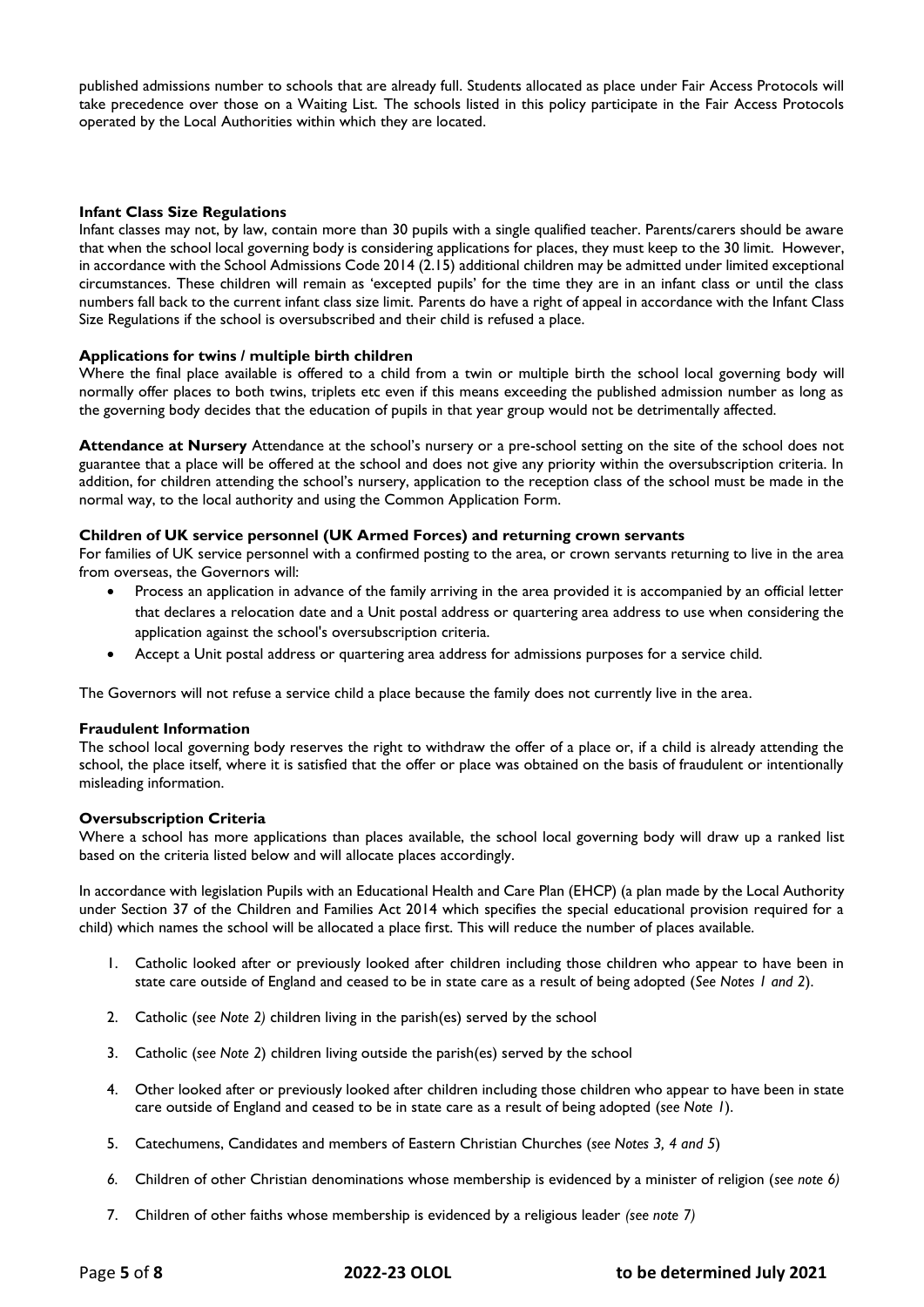published admissions number to schools that are already full. Students allocated as place under Fair Access Protocols will take precedence over those on a Waiting List. The schools listed in this policy participate in the Fair Access Protocols operated by the Local Authorities within which they are located.

# **Infant Class Size Regulations**

Infant classes may not, by law, contain more than 30 pupils with a single qualified teacher. Parents/carers should be aware that when the school local governing body is considering applications for places, they must keep to the 30 limit. However, in accordance with the School Admissions Code 2014 (2.15) additional children may be admitted under limited exceptional circumstances. These children will remain as 'excepted pupils' for the time they are in an infant class or until the class numbers fall back to the current infant class size limit. Parents do have a right of appeal in accordance with the Infant Class Size Regulations if the school is oversubscribed and their child is refused a place.

#### **Applications for twins / multiple birth children**

Where the final place available is offered to a child from a twin or multiple birth the school local governing body will normally offer places to both twins, triplets etc even if this means exceeding the published admission number as long as the governing body decides that the education of pupils in that year group would not be detrimentally affected.

**Attendance at Nursery** Attendance at the school's nursery or a pre-school setting on the site of the school does not guarantee that a place will be offered at the school and does not give any priority within the oversubscription criteria. In addition, for children attending the school's nursery, application to the reception class of the school must be made in the normal way, to the local authority and using the Common Application Form.

### **Children of UK service personnel (UK Armed Forces) and returning crown servants**

For families of UK service personnel with a confirmed posting to the area, or crown servants returning to live in the area from overseas, the Governors will:

- Process an application in advance of the family arriving in the area provided it is accompanied by an official letter that declares a relocation date and a Unit postal address or quartering area address to use when considering the application against the school's oversubscription criteria.
- Accept a Unit postal address or quartering area address for admissions purposes for a service child.

The Governors will not refuse a service child a place because the family does not currently live in the area.

#### **Fraudulent Information**

The school local governing body reserves the right to withdraw the offer of a place or, if a child is already attending the school, the place itself, where it is satisfied that the offer or place was obtained on the basis of fraudulent or intentionally misleading information.

# **Oversubscription Criteria**

Where a school has more applications than places available, the school local governing body will draw up a ranked list based on the criteria listed below and will allocate places accordingly.

In accordance with legislation Pupils with an Educational Health and Care Plan (EHCP) (a plan made by the Local Authority under Section 37 of the Children and Families Act 2014 which specifies the special educational provision required for a child) which names the school will be allocated a place first. This will reduce the number of places available.

- 1. Catholic looked after or previously looked after children including those children who appear to have been in state care outside of England and ceased to be in state care as a result of being adopted (*See Notes 1 and 2*).
- 2. Catholic (*see Note 2)* children living in the parish(es) served by the school
- 3. Catholic (*see Note 2*) children living outside the parish(es) served by the school
- 4. Other looked after or previously looked after children including those children who appear to have been in state care outside of England and ceased to be in state care as a result of being adopted (*see Note 1*).
- 5. Catechumens, Candidates and members of Eastern Christian Churches (*see Notes 3, 4 and 5*)
- *6.* Children of other Christian denominations whose membership is evidenced by a minister of religion (*see note 6)*
- 7. Children of other faiths whose membership is evidenced by a religious leader *(see note 7)*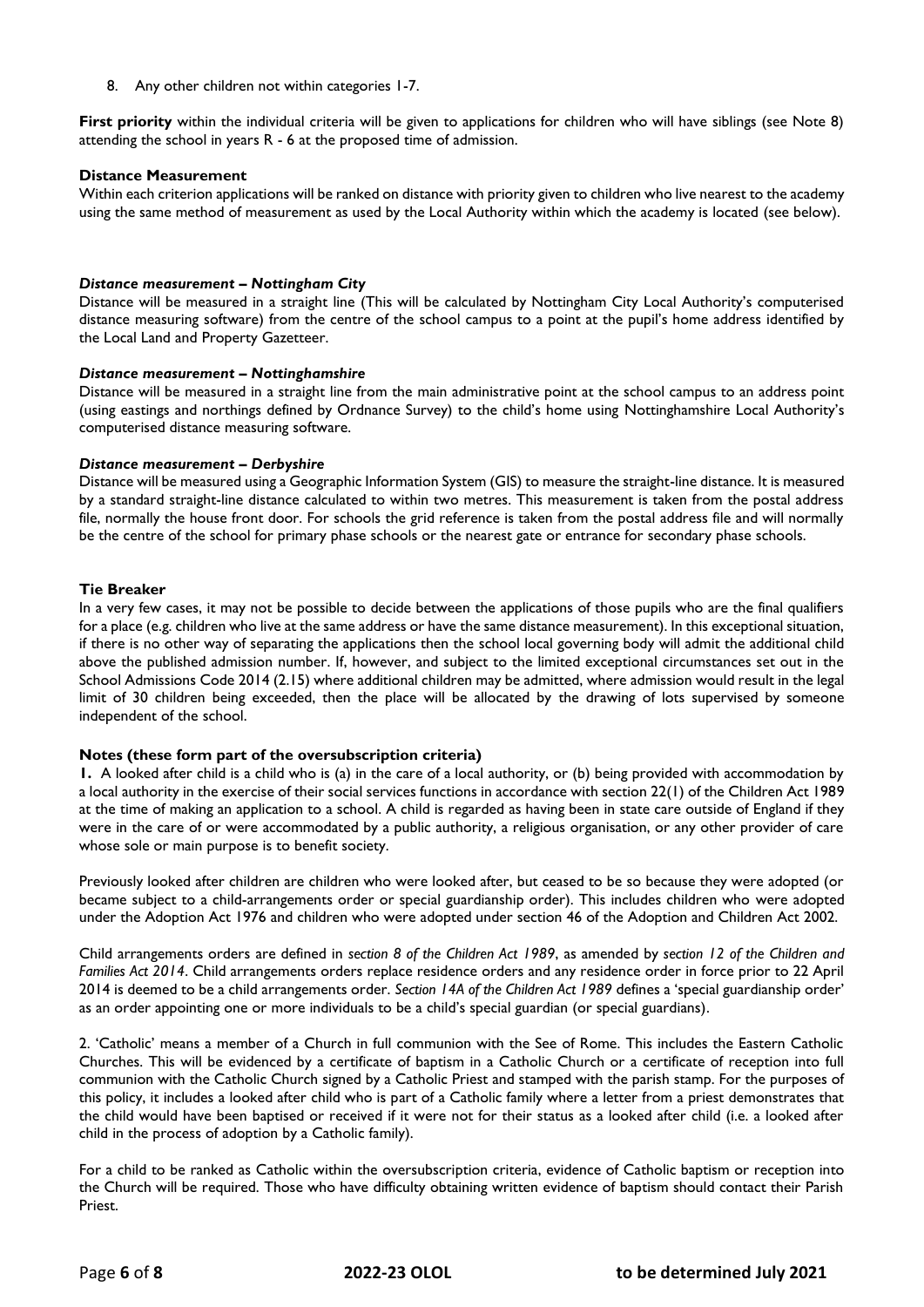8. Any other children not within categories 1-7.

**First priority** within the individual criteria will be given to applications for children who will have siblings (see Note 8) attending the school in years R - 6 at the proposed time of admission.

### **Distance Measurement**

Within each criterion applications will be ranked on distance with priority given to children who live nearest to the academy using the same method of measurement as used by the Local Authority within which the academy is located (see below).

#### *Distance measurement – Nottingham City*

Distance will be measured in a straight line (This will be calculated by Nottingham City Local Authority's computerised distance measuring software) from the centre of the school campus to a point at the pupil's home address identified by the Local Land and Property Gazetteer.

#### *Distance measurement – Nottinghamshire*

Distance will be measured in a straight line from the main administrative point at the school campus to an address point (using eastings and northings defined by Ordnance Survey) to the child's home using Nottinghamshire Local Authority's computerised distance measuring software.

#### *Distance measurement – Derbyshire*

Distance will be measured using a Geographic Information System (GIS) to measure the straight-line distance. It is measured by a standard straight-line distance calculated to within two metres. This measurement is taken from the postal address file, normally the house front door. For schools the grid reference is taken from the postal address file and will normally be the centre of the school for primary phase schools or the nearest gate or entrance for secondary phase schools.

#### **Tie Breaker**

In a very few cases, it may not be possible to decide between the applications of those pupils who are the final qualifiers for a place (e.g. children who live at the same address or have the same distance measurement). In this exceptional situation, if there is no other way of separating the applications then the school local governing body will admit the additional child above the published admission number. If, however, and subject to the limited exceptional circumstances set out in the School Admissions Code 2014 (2.15) where additional children may be admitted, where admission would result in the legal limit of 30 children being exceeded, then the place will be allocated by the drawing of lots supervised by someone independent of the school.

### **Notes (these form part of the oversubscription criteria)**

**1.** A looked after child is a child who is (a) in the care of a local authority, or (b) being provided with accommodation by a local authority in the exercise of their social services functions in accordance with section 22(1) of the Children Act 1989 at the time of making an application to a school. A child is regarded as having been in state care outside of England if they were in the care of or were accommodated by a public authority, a religious organisation, or any other provider of care whose sole or main purpose is to benefit society.

Previously looked after children are children who were looked after, but ceased to be so because they were adopted (or became subject to a child-arrangements order or special guardianship order). This includes children who were adopted under the Adoption Act 1976 and children who were adopted under section 46 of the Adoption and Children Act 2002.

Child arrangements orders are defined in *section 8 of the Children Act 1989*, as amended by *section 12 of the Children and Families Act 2014*. Child arrangements orders replace residence orders and any residence order in force prior to 22 April 2014 is deemed to be a child arrangements order. *Section 14A of the Children Act 1989* defines a 'special guardianship order' as an order appointing one or more individuals to be a child's special guardian (or special guardians).

2. 'Catholic' means a member of a Church in full communion with the See of Rome. This includes the Eastern Catholic Churches. This will be evidenced by a certificate of baptism in a Catholic Church or a certificate of reception into full communion with the Catholic Church signed by a Catholic Priest and stamped with the parish stamp. For the purposes of this policy, it includes a looked after child who is part of a Catholic family where a letter from a priest demonstrates that the child would have been baptised or received if it were not for their status as a looked after child (i.e. a looked after child in the process of adoption by a Catholic family).

For a child to be ranked as Catholic within the oversubscription criteria, evidence of Catholic baptism or reception into the Church will be required. Those who have difficulty obtaining written evidence of baptism should contact their Parish Priest.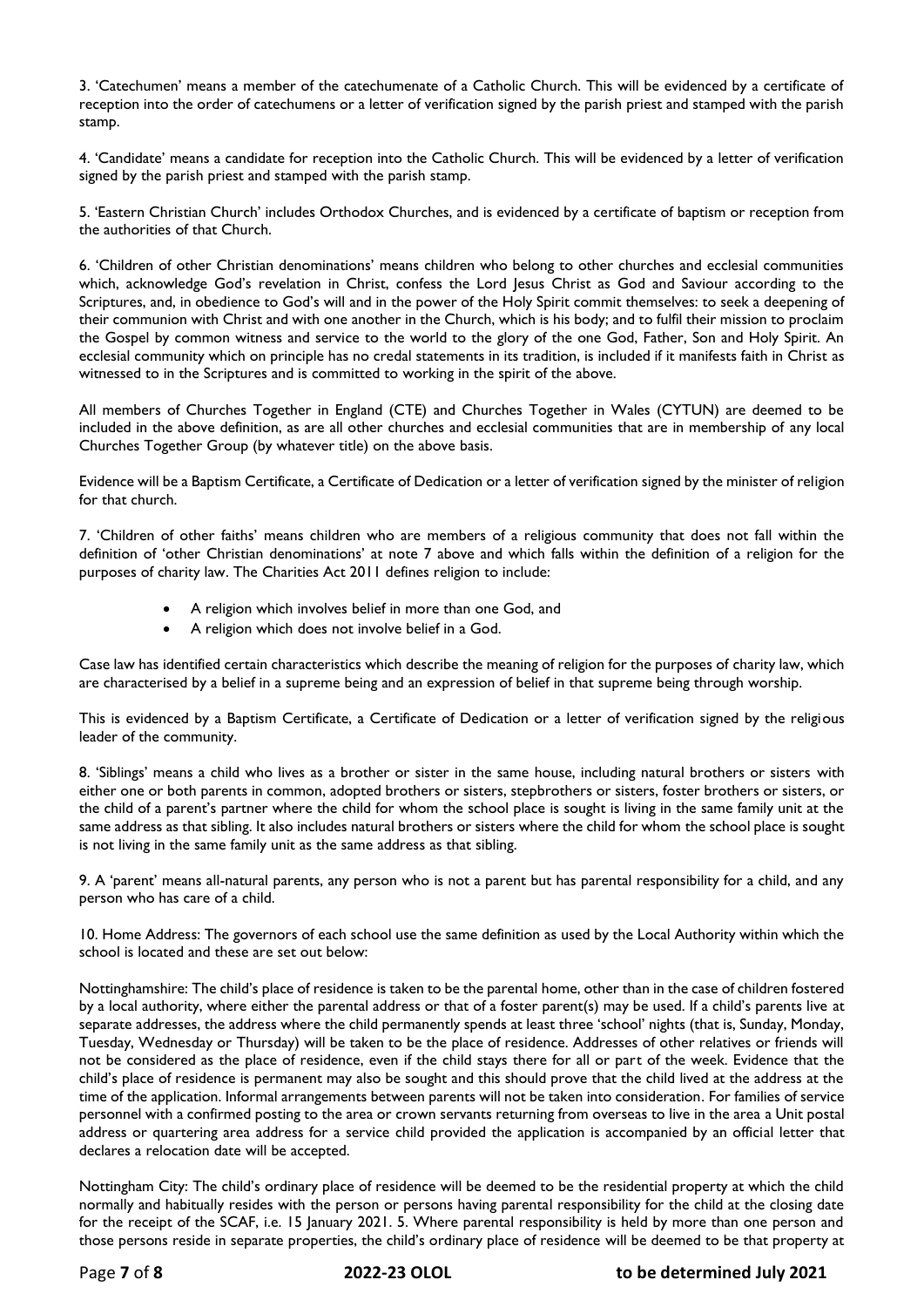3. 'Catechumen' means a member of the catechumenate of a Catholic Church. This will be evidenced by a certificate of reception into the order of catechumens or a letter of verification signed by the parish priest and stamped with the parish stamp.

4. 'Candidate' means a candidate for reception into the Catholic Church. This will be evidenced by a letter of verification signed by the parish priest and stamped with the parish stamp.

5. 'Eastern Christian Church' includes Orthodox Churches, and is evidenced by a certificate of baptism or reception from the authorities of that Church.

6. 'Children of other Christian denominations' means children who belong to other churches and ecclesial communities which, acknowledge God's revelation in Christ, confess the Lord Jesus Christ as God and Saviour according to the Scriptures, and, in obedience to God's will and in the power of the Holy Spirit commit themselves: to seek a deepening of their communion with Christ and with one another in the Church, which is his body; and to fulfil their mission to proclaim the Gospel by common witness and service to the world to the glory of the one God, Father, Son and Holy Spirit. An ecclesial community which on principle has no credal statements in its tradition, is included if it manifests faith in Christ as witnessed to in the Scriptures and is committed to working in the spirit of the above.

All members of Churches Together in England (CTE) and Churches Together in Wales (CYTUN) are deemed to be included in the above definition, as are all other churches and ecclesial communities that are in membership of any local Churches Together Group (by whatever title) on the above basis.

Evidence will be a Baptism Certificate, a Certificate of Dedication or a letter of verification signed by the minister of religion for that church.

7. 'Children of other faiths' means children who are members of a religious community that does not fall within the definition of 'other Christian denominations' at note 7 above and which falls within the definition of a religion for the purposes of charity law. The Charities Act 2011 defines religion to include:

- A religion which involves belief in more than one God, and
- A religion which does not involve belief in a God.

Case law has identified certain characteristics which describe the meaning of religion for the purposes of charity law, which are characterised by a belief in a supreme being and an expression of belief in that supreme being through worship.

This is evidenced by a Baptism Certificate, a Certificate of Dedication or a letter of verification signed by the religious leader of the community.

8. 'Siblings' means a child who lives as a brother or sister in the same house, including natural brothers or sisters with either one or both parents in common, adopted brothers or sisters, stepbrothers or sisters, foster brothers or sisters, or the child of a parent's partner where the child for whom the school place is sought is living in the same family unit at the same address as that sibling. It also includes natural brothers or sisters where the child for whom the school place is sought is not living in the same family unit as the same address as that sibling.

9. A 'parent' means all-natural parents, any person who is not a parent but has parental responsibility for a child, and any person who has care of a child.

10. Home Address: The governors of each school use the same definition as used by the Local Authority within which the school is located and these are set out below:

Nottinghamshire: The child's place of residence is taken to be the parental home, other than in the case of children fostered by a local authority, where either the parental address or that of a foster parent(s) may be used. If a child's parents live at separate addresses, the address where the child permanently spends at least three 'school' nights (that is, Sunday, Monday, Tuesday, Wednesday or Thursday) will be taken to be the place of residence. Addresses of other relatives or friends will not be considered as the place of residence, even if the child stays there for all or part of the week. Evidence that the child's place of residence is permanent may also be sought and this should prove that the child lived at the address at the time of the application. Informal arrangements between parents will not be taken into consideration. For families of service personnel with a confirmed posting to the area or crown servants returning from overseas to live in the area a Unit postal address or quartering area address for a service child provided the application is accompanied by an official letter that declares a relocation date will be accepted.

Nottingham City: The child's ordinary place of residence will be deemed to be the residential property at which the child normally and habitually resides with the person or persons having parental responsibility for the child at the closing date for the receipt of the SCAF, i.e. 15 January 2021. 5. Where parental responsibility is held by more than one person and those persons reside in separate properties, the child's ordinary place of residence will be deemed to be that property at